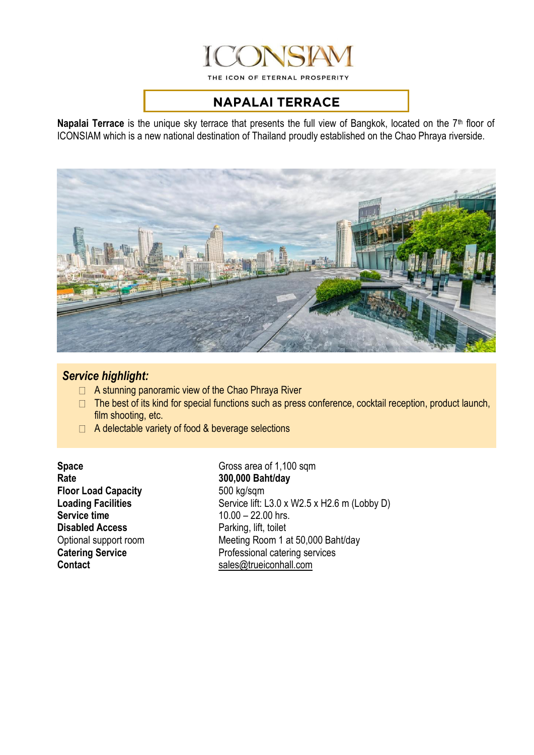

THE ICON OF ETERNAL PROSPERITY

## **NAPALAI TERRACE**

Napalai Terrace is the unique sky terrace that presents the full view of Bangkok, located on the 7<sup>th</sup> floor of ICONSIAM which is a new national destination of Thailand proudly established on the Chao Phraya riverside.



## *Service highlight:*

- $\Box$  A stunning panoramic view of the Chao Phraya River
- $\Box$  The best of its kind for special functions such as press conference, cocktail reception, product launch, film shooting, etc.
- $\Box$  A delectable variety of food & beverage selections

**Floor Load Capacity** 500 kg/sqm **Disabled Access Parking, lift, toilet** 

**Space** Gross area of 1,100 sqm<br>Rate 300.000 Baht/day **Rate 300,000 Baht/day Loading Facilities** Service lift: L3.0 x W2.5 x H2.6 m (Lobby D)<br>Service time 10.00 - 22.00 hrs. **Service time** 10.00 – 22.00 hrs. Optional support room Meeting Room 1 at 50,000 Baht/day **Catering Service Professional catering services Contact** [sales@trueiconhall.com](mailto:sales@trueiconhall.com)